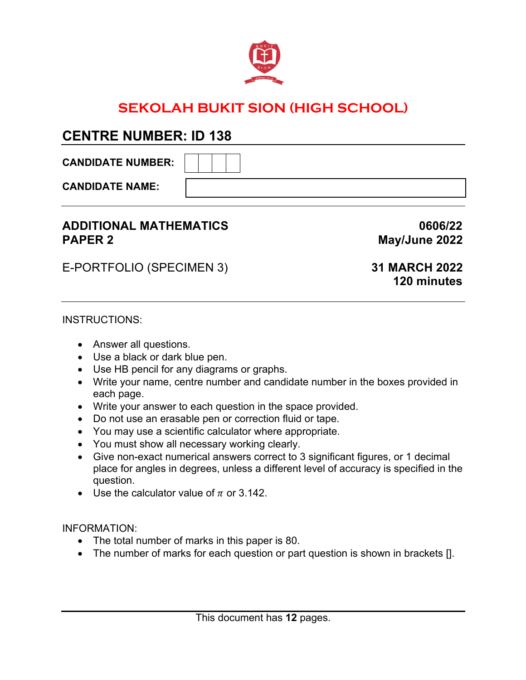

# **SEKOLAH BUKIT SION (HIGH SCHOOL)**

# **CENTRE NUMBER: ID 138**

**CANDIDATE NUMBER:** 

**CANDIDATE NAME:** 

# **ADDITIONAL MATHEMATICS 0606/22 PAPER 2** May/June 2022

E-PORTFOLIO (SPECIMEN 3) **31 MARCH 2022**

# **120 minutes**

#### INSTRUCTIONS:

- Answer all questions.
- Use a black or dark blue pen.
- Use HB pencil for any diagrams or graphs.
- Write your name, centre number and candidate number in the boxes provided in each page.
- Write your answer to each question in the space provided.
- Do not use an erasable pen or correction fluid or tape.
- You may use a scientific calculator where appropriate.
- You must show all necessary working clearly.
- Give non-exact numerical answers correct to 3 significant figures, or 1 decimal place for angles in degrees, unless a different level of accuracy is specified in the question.
- Use the calculator value of  $\pi$  or 3.142.

INFORMATION:

- The total number of marks in this paper is 80.
- The number of marks for each question or part question is shown in brackets [].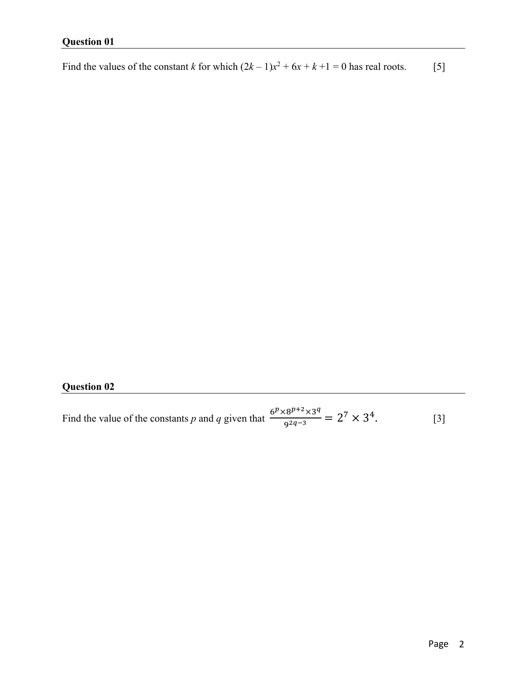#### **Question 01**

Find the values of the constant *k* for which  $(2k-1)x^2 + 6x + k + 1 = 0$  has real roots. [5]

## **Question 02**

Find the value of the constants *p* and *q* given that  $\frac{6^p \times 8^{p+2} \times 3^q}{9^{2q-3}} = 2^7 \times 3^4$ . [3]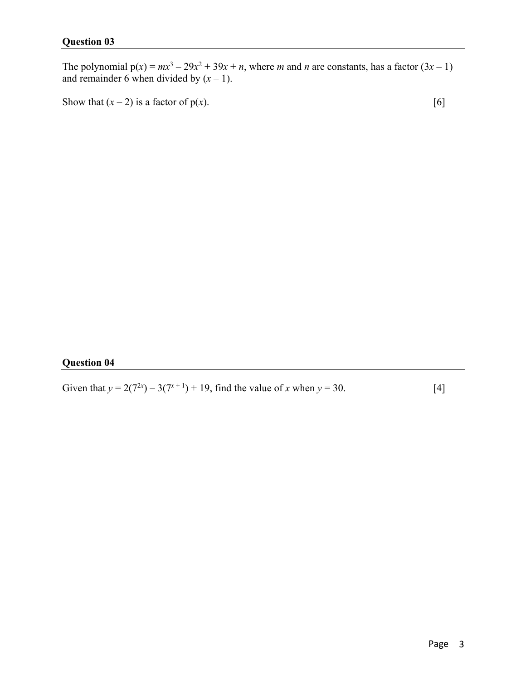The polynomial  $p(x) = mx^3 - 29x^2 + 39x + n$ , where *m* and *n* are constants, has a factor  $(3x - 1)$ and remainder 6 when divided by  $(x - 1)$ .

Show that  $(x - 2)$  is a factor of  $p(x)$ . [6]

#### **Question 04**

Given that  $y = 2(7^{2x}) - 3(7^{x+1}) + 19$ , find the value of *x* when  $y = 30$ . [4]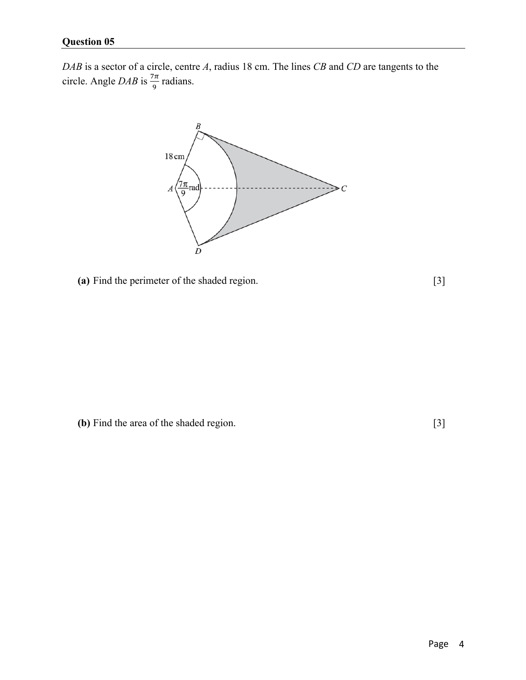*DAB* is a sector of a circle, centre *A*, radius 18 cm. The lines *CB* and *CD* are tangents to the circle. Angle *DAB* is  $\frac{7\pi}{9}$  radians.



**(a)** Find the perimeter of the shaded region. [3]

**(b)** Find the area of the shaded region. [3]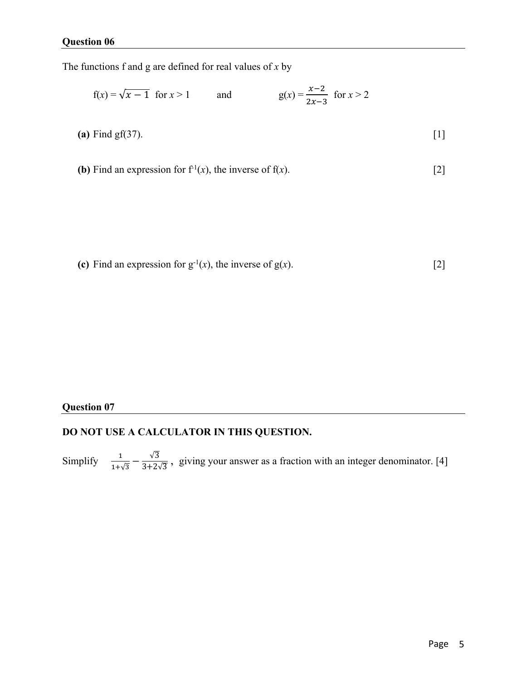The functions f and g are defined for real values of *x* by

$$
f(x) = \sqrt{x - 1}
$$
 for  $x > 1$  and  $g(x) = \frac{x - 2}{2x - 3}$  for  $x > 2$   
(a) Find gf(37). [1]

**(b)** Find an expression for  $f^{-1}(x)$ , the inverse of  $f(x)$ . [2]

(c) Find an expression for 
$$
g^{-1}(x)
$$
, the inverse of  $g(x)$ . [2]

#### **Question 07**

### **DO NOT USE A CALCULATOR IN THIS QUESTION.**

Simplify  $\frac{1}{1+\sqrt{3}} - \frac{\sqrt{3}}{3+2\sqrt{3}}$ , giving your answer as a fraction with an integer denominator. [4]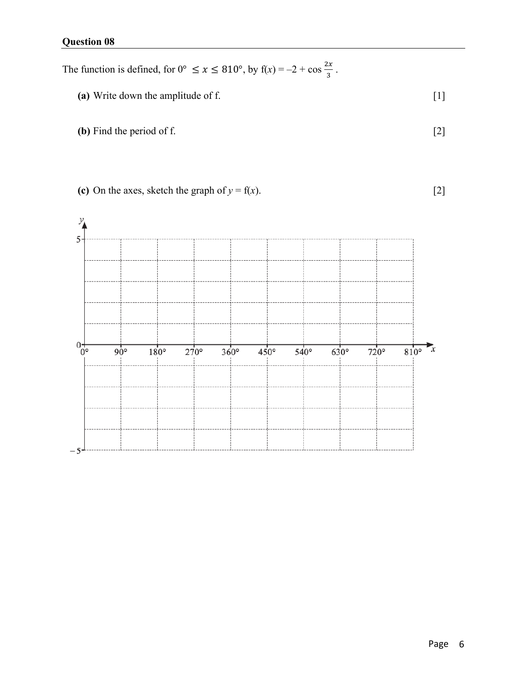The function is defined, for  $0^{\circ} \le x \le 810^{\circ}$ , by  $f(x) = -2 + \cos \frac{2x}{3}$ .

- **(a)** Write down the amplitude of f. [1]
- **(b)** Find the period of f. [2]
- (c) On the axes, sketch the graph of  $y = f(x)$ . [2]

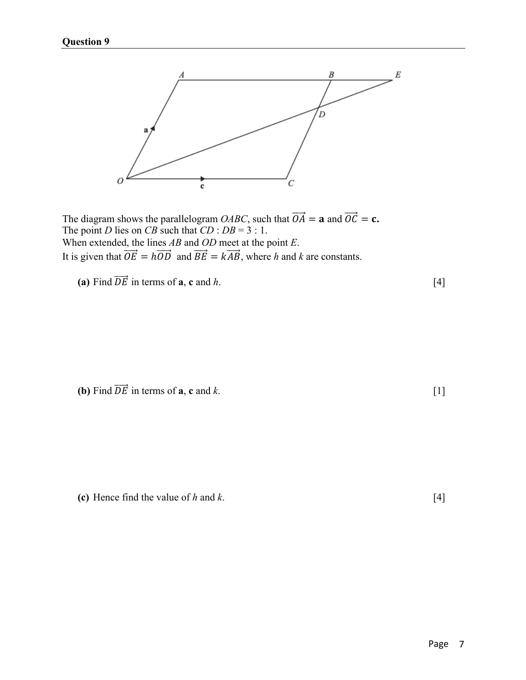

The diagram shows the parallelogram *OABC*, such that  $\overrightarrow{OA} = \mathbf{a}$  and  $\overrightarrow{OC} = \mathbf{c}$ . The point *D* lies on *CB* such that  $CD : DB = 3 : 1$ . When extended, the lines *AB* and *OD* meet at the point *E*. It is given that  $\overrightarrow{OE} = h\overrightarrow{OD}$  and  $\overrightarrow{BE} = k\overrightarrow{AB}$ , where *h* and *k* are constants.

(a) Find  $\overrightarrow{DE}$  in terms of **a**, **c** and *h*. [4]

**(b)** Find  $\overrightarrow{DE}$  in terms of **a**, **c** and *k*. [1]

**(c)** Hence find the value of *h* and *k*. [4]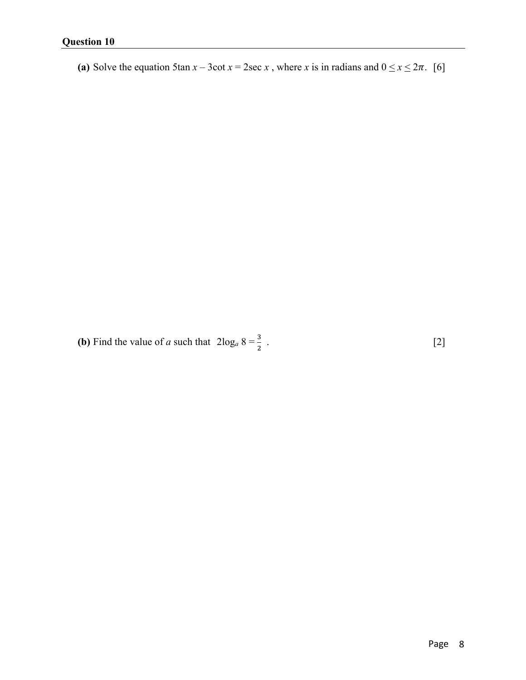(a) Solve the equation 5tan  $x - 3\cot x = 2\sec x$ , where *x* is in radians and  $0 \le x \le 2\pi$ . [6]

**(b)** Find the value of *a* such that  $2\log_a 8 = \frac{3}{2}$  $\qquad \qquad \text{[2]}$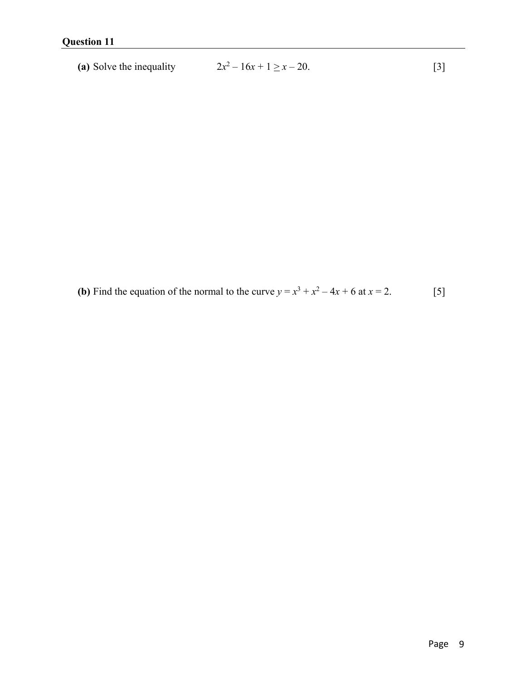(a) Solve the inequality  $2x^2 - 16x + 1 \ge x - 20$ . [3]

**(b)** Find the equation of the normal to the curve  $y = x^3 + x^2 - 4x + 6$  at  $x = 2$ . [5]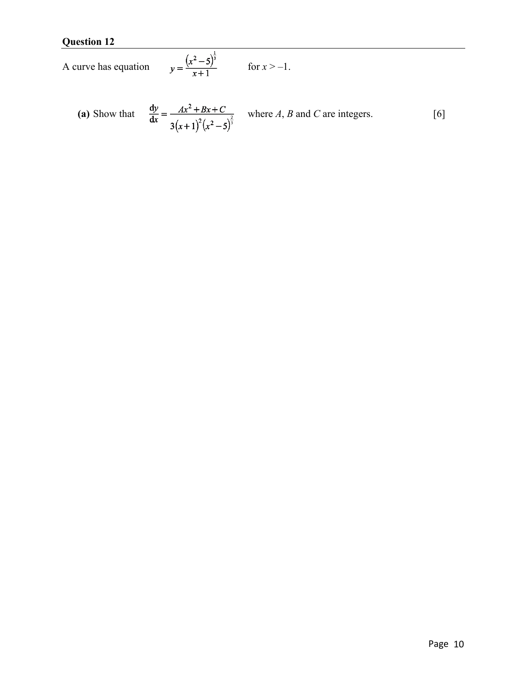A curve has equation 
$$
y = \frac{(x^2 - 5)^{\frac{1}{3}}}{x+1}
$$
 for  $x > -1$ .

(a) Show that 
$$
\frac{dy}{dx} = \frac{Ax^2 + Bx + C}{3(x+1)^2(x^2-5)^{\frac{2}{3}}}
$$
 where *A*, *B* and *C* are integers. [6]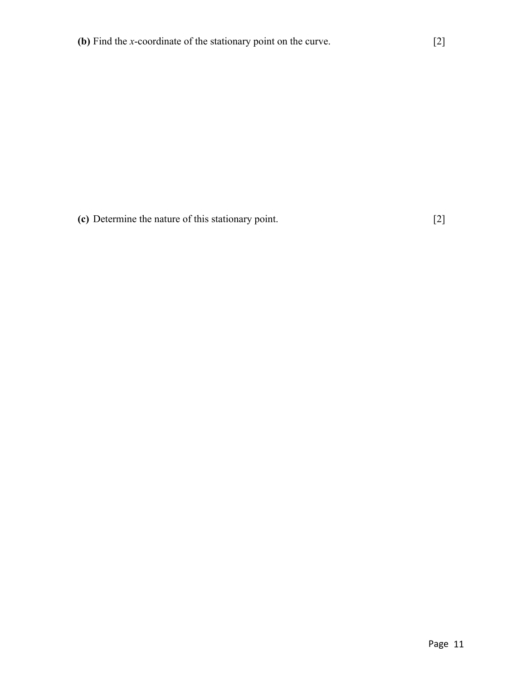**(c)** Determine the nature of this stationary point. [2]